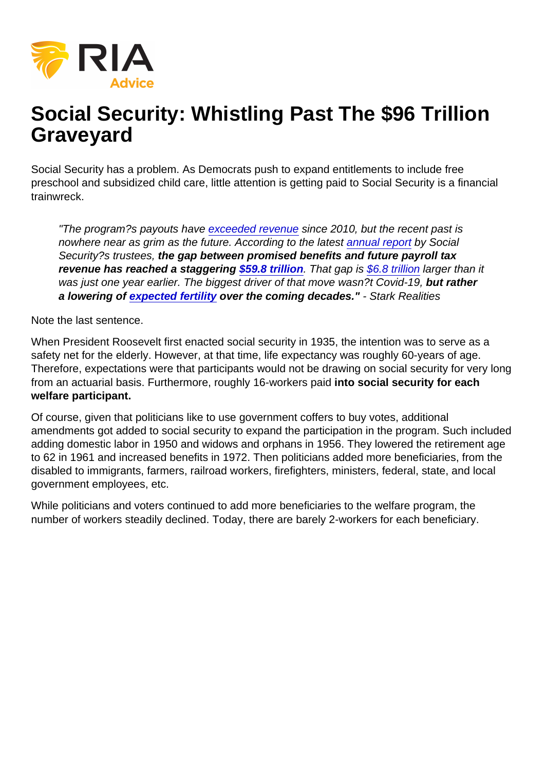# Social Security: Whistling Past The \$96 Trillion Graveyard

Social Security has a problem. As Democrats push to expand entitlements to include free preschool and subsidized child care, little attention is getting paid to Social Security is a financial trainwreck.

"The program?s payouts have [exceeded revenue](https://reason.com/2019/05/01/social-securitys-real-problem-not-money-but-time/) since 2010, but the recent past is nowhere near as grim as the future. According to the latest [annual report](https://www.ssa.gov/oact/TR/2021/tr2021.pdf) by Social Security?s trustees, the gap between promised benefits and future payroll tax revenue has reached a staggering  $$59.8$  trillion. That gap is [\\$6.8 trillion](https://thehill.com/opinion/finance/573920-the-really-scary-news-in-the-social-security-trustees-report?rl=1) larger than it was just one year earlier. The biggest driver of that move wasn?t Covid-19, but rather a lowering of [expected fertility](https://crr.bc.edu/wp-content/uploads/2021/09/IB_21-15_.pdf) over the coming decades." - Stark Realities

Note the last sentence.

When President Roosevelt first enacted social security in 1935, the intention was to serve as a safety net for the elderly. However, at that time, life expectancy was roughly 60-years of age. Therefore, expectations were that participants would not be drawing on social security for very long from an actuarial basis. Furthermore, roughly 16-workers paid into social security for each welfare participant.

Of course, given that politicians like to use government coffers to buy votes, additional amendments got added to social security to expand the participation in the program. Such included adding domestic labor in 1950 and widows and orphans in 1956. They lowered the retirement age to 62 in 1961 and increased benefits in 1972. Then politicians added more beneficiaries, from the disabled to immigrants, farmers, railroad workers, firefighters, ministers, federal, state, and local government employees, etc.

While politicians and voters continued to add more beneficiaries to the welfare program, the number of workers steadily declined. Today, there are barely 2-workers for each beneficiary.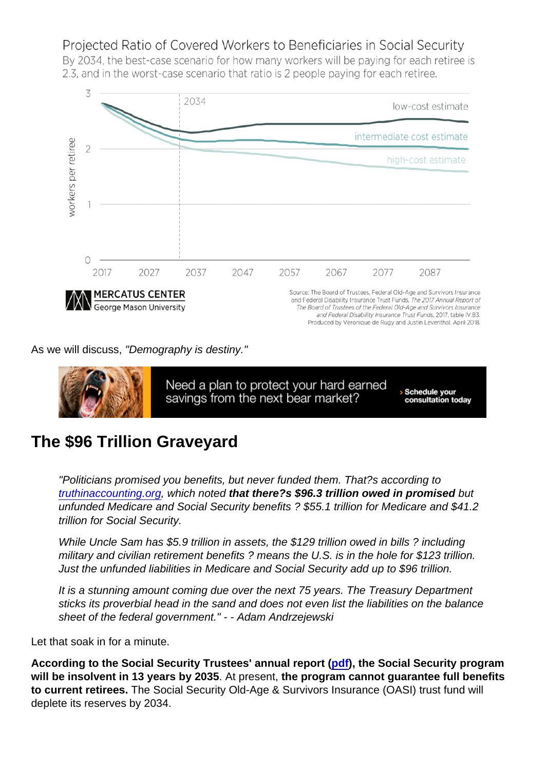As we will discuss, "Demography is destiny."

### The \$96 Trillion Graveyard

"Politicians promised you benefits, but never funded them. That?s according to [truthinaccounting.org](https://www.truthinaccounting.org/library/doclib/Financial-State-of-the-Union-2020.pdf), which noted that there?s \$96.3 trillion owed in promised but unfunded Medicare and Social Security benefits ? \$55.1 trillion for Medicare and \$41.2 trillion for Social Security.

While Uncle Sam has \$5.9 trillion in assets, the \$129 trillion owed in bills ? including military and civilian retirement benefits ? means the U.S. is in the hole for \$123 trillion. Just the unfunded liabilities in Medicare and Social Security add up to \$96 trillion.

It is a stunning amount coming due over the next 75 years. The Treasury Department sticks its proverbial head in the sand and does not even list the liabilities on the balance sheet of the federal government." - - Adam Andrzejewski

Let that soak in for a minute.

According to the Social Security Trustees' annual report ( [pdf\)](https://www.ssa.gov/OACT/TR/2022/tr2022.pdf), the Social Security program will be insolvent in 13 years by 2035 . At present, the program cannot guarantee full benefits to current retirees. The Social Security Old-Age & Survivors Insurance (OASI) trust fund will deplete its reserves by 2034.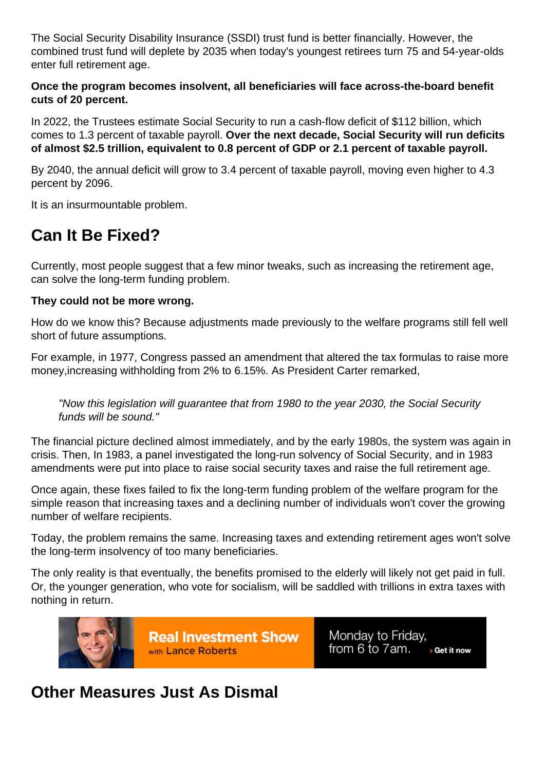The Social Security Disability Insurance (SSDI) trust fund is better financially. However, the combined trust fund will deplete by 2035 when today's youngest retirees turn 75 and 54-year-olds enter full retirement age.

Once the program becomes insolvent, all beneficiaries will face across-the-board benefit cuts of 20 percent.

In 2022, the Trustees estimate Social Security to run a cash-flow deficit of \$112 billion, which comes to 1.3 percent of taxable payroll. Over the next decade, Social Security will run deficits of almost \$2.5 trillion, equivalent to 0.8 percent of GDP or 2.1 percent of taxable payroll.

By 2040, the annual deficit will grow to 3.4 percent of taxable payroll, moving even higher to 4.3 percent by 2096.

It is an insurmountable problem.

## Can It Be Fixed?

Currently, most people suggest that a few minor tweaks, such as increasing the retirement age, can solve the long-term funding problem.

They could not be more wrong.

How do we know this? Because adjustments made previously to the welfare programs still fell well short of future assumptions.

For example, in 1977, Congress passed an amendment that altered the tax formulas to raise more money,increasing withholding from 2% to 6.15%. As President Carter remarked,

"Now this legislation will guarantee that from 1980 to the year 2030, the Social Security funds will be sound."

The financial picture declined almost immediately, and by the early 1980s, the system was again in crisis. Then, In 1983, a panel investigated the long-run solvency of Social Security, and in 1983 amendments were put into place to raise social security taxes and raise the full retirement age.

Once again, these fixes failed to fix the long-term funding problem of the welfare program for the simple reason that increasing taxes and a declining number of individuals won't cover the growing number of welfare recipients.

Today, the problem remains the same. Increasing taxes and extending retirement ages won't solve the long-term insolvency of too many beneficiaries.

The only reality is that eventually, the benefits promised to the elderly will likely not get paid in full. Or, the younger generation, who vote for socialism, will be saddled with trillions in extra taxes with nothing in return.

#### Other Measures Just As Dismal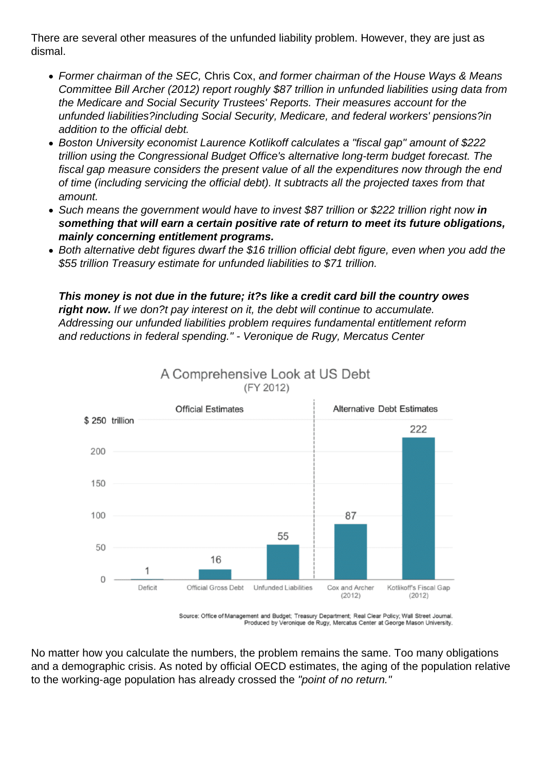There are several other measures of the unfunded liability problem. However, they are just as dismal.

- Former chairman of the SEC, Chris Cox, and former chairman of the House Ways & Means Committee Bill Archer (2012) report roughly \$87 trillion in unfunded liabilities using data from the Medicare and Social Security Trustees' Reports. Their measures account for the unfunded liabilities?including Social Security, Medicare, and federal workers' pensions?in addition to the official debt.
- Boston University economist Laurence Kotlikoff calculates a "fiscal gap" amount of \$222 trillion using the Congressional Budget Office's alternative long-term budget forecast. The fiscal gap measure considers the present value of all the expenditures now through the end of time (including servicing the official debt). It subtracts all the projected taxes from that amount.
- Such means the government would have to invest \$87 trillion or \$222 trillion right now in something that will earn a certain positive rate of return to meet its future obligations, mainly concerning entitlement programs.
- Both alternative debt figures dwarf the \$16 trillion official debt figure, even when you add the \$55 trillion Treasury estimate for unfunded liabilities to \$71 trillion.

This money is not due in the future; it?s like a credit card bill the country owes right now. If we don?t pay interest on it, the debt will continue to accumulate. Addressing our unfunded liabilities problem requires fundamental entitlement reform and reductions in federal spending." - Veronique de Rugy, Mercatus Center

No matter how you calculate the numbers, the problem remains the same. Too many obligations and a demographic crisis. As noted by official OECD estimates, the aging of the population relative to the working-age population has already crossed the "point of no return."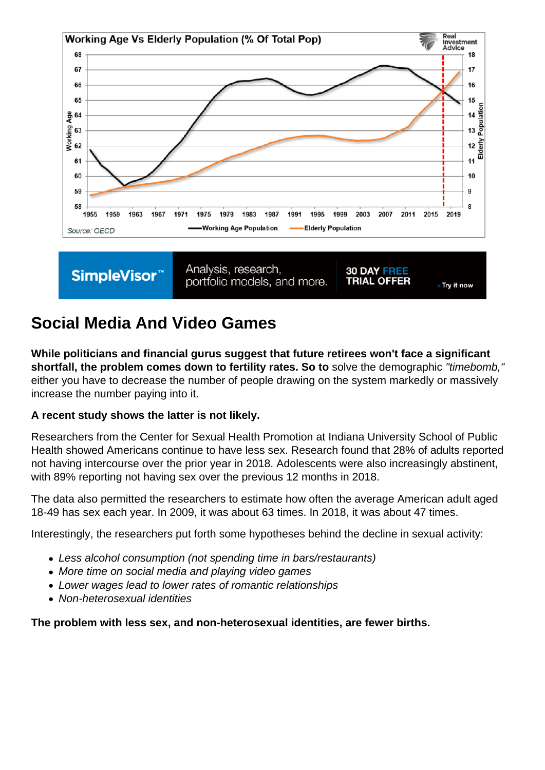## Social Media And Video Games

While politicians and financial gurus suggest that future retirees won't face a significant shortfall, the problem comes down to fertility rates. So to solve the demographic "timebomb," either you have to decrease the number of people drawing on the system markedly or massively increase the number paying into it.

A recent study shows the latter is not likely.

Researchers from the Center for Sexual Health Promotion at Indiana University School of Public Health showed Americans continue to have less sex. Research found that 28% of adults reported not having intercourse over the prior year in 2018. Adolescents were also increasingly abstinent, with 89% reporting not having sex over the previous 12 months in 2018.

The data also permitted the researchers to estimate how often the average American adult aged 18-49 has sex each year. In 2009, it was about 63 times. In 2018, it was about 47 times.

Interestingly, the researchers put forth some hypotheses behind the decline in sexual activity:

- Less alcohol consumption (not spending time in bars/restaurants)
- More time on social media and playing video games
- Lower wages lead to lower rates of romantic relationships
- Non-heterosexual identities

The problem with less sex, and non-heterosexual identities, are fewer births.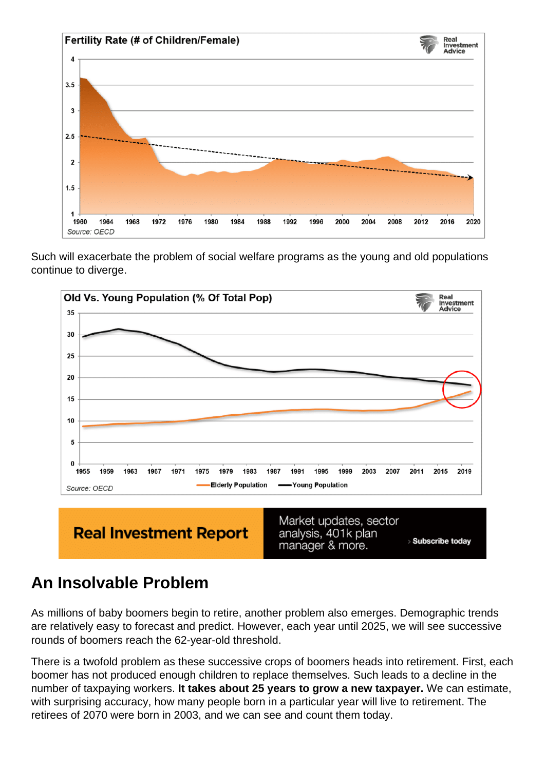Such will exacerbate the problem of social welfare programs as the young and old populations continue to diverge.

## An Insolvable Problem

As millions of baby boomers begin to retire, another problem also emerges. Demographic trends are relatively easy to forecast and predict. However, each year until 2025, we will see successive rounds of boomers reach the 62-year-old threshold.

There is a twofold problem as these successive crops of boomers heads into retirement. First, each boomer has not produced enough children to replace themselves. Such leads to a decline in the number of taxpaying workers. It takes about 25 years to grow a new taxpayer. We can estimate, with surprising accuracy, how many people born in a particular year will live to retirement. The retirees of 2070 were born in 2003, and we can see and count them today.